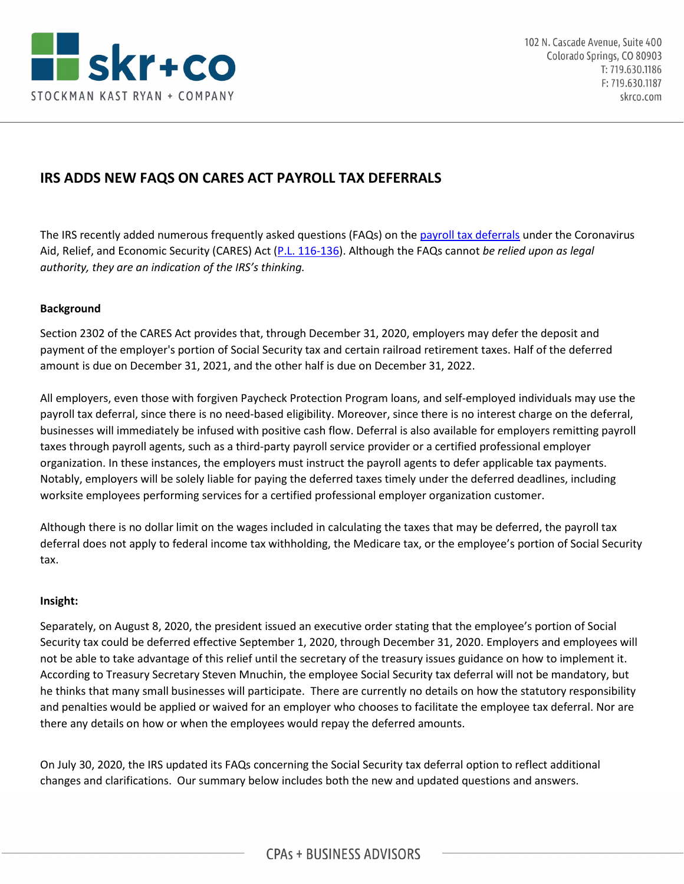

# **IRS ADDS NEW FAQS ON CARES ACT PAYROLL TAX DEFERRALS**

The IRS recently added numerous frequently asked questions (FAQs) on the [payroll tax deferrals](https://www.irs.gov/newsroom/deferral-of-employment-tax-deposits-and-payments-through-december-31-2020) under the Coronavirus Aid, Relief, and Economic Security (CARES) Act [\(P.L. 116-136\)](https://www.congress.gov/bill/116th-congress/house-bill/748/text?q=%7B%22search%22%3A%5B%22cite%3APL116-136%22%5D%7D&r=1&s=1). Although the FAQs cannot *be relied upon as legal authority, they are an indication of the IRS's thinking.*

## **Background**

Section 2302 of the CARES Act provides that, through December 31, 2020, employers may defer the deposit and payment of the employer's portion of Social Security tax and certain railroad retirement taxes. Half of the deferred amount is due on December 31, 2021, and the other half is due on December 31, 2022.

All employers, even those with forgiven Paycheck Protection Program loans, and self-employed individuals may use the payroll tax deferral, since there is no need-based eligibility. Moreover, since there is no interest charge on the deferral, businesses will immediately be infused with positive cash flow. Deferral is also available for employers remitting payroll taxes through payroll agents, such as a third-party payroll service provider or a certified professional employer organization. In these instances, the employers must instruct the payroll agents to defer applicable tax payments. Notably, employers will be solely liable for paying the deferred taxes timely under the deferred deadlines, including worksite employees performing services for a certified professional employer organization customer.

Although there is no dollar limit on the wages included in calculating the taxes that may be deferred, the payroll tax deferral does not apply to federal income tax withholding, the Medicare tax, or the employee's portion of Social Security tax.

## **Insight:**

Separately, on August 8, 2020, the president issued an executive order stating that the employee's portion of Social Security tax could be deferred effective September 1, 2020, through December 31, 2020. Employers and employees will not be able to take advantage of this relief until the secretary of the treasury issues guidance on how to implement it. According to Treasury Secretary Steven Mnuchin, the employee Social Security tax deferral will not be mandatory, but he thinks that many small businesses will participate. There are currently no details on how the statutory responsibility and penalties would be applied or waived for an employer who chooses to facilitate the employee tax deferral. Nor are there any details on how or when the employees would repay the deferred amounts.

On July 30, 2020, the IRS updated its FAQs concerning the Social Security tax deferral option to reflect additional changes and clarifications. Our summary below includes both the new and updated questions and answers.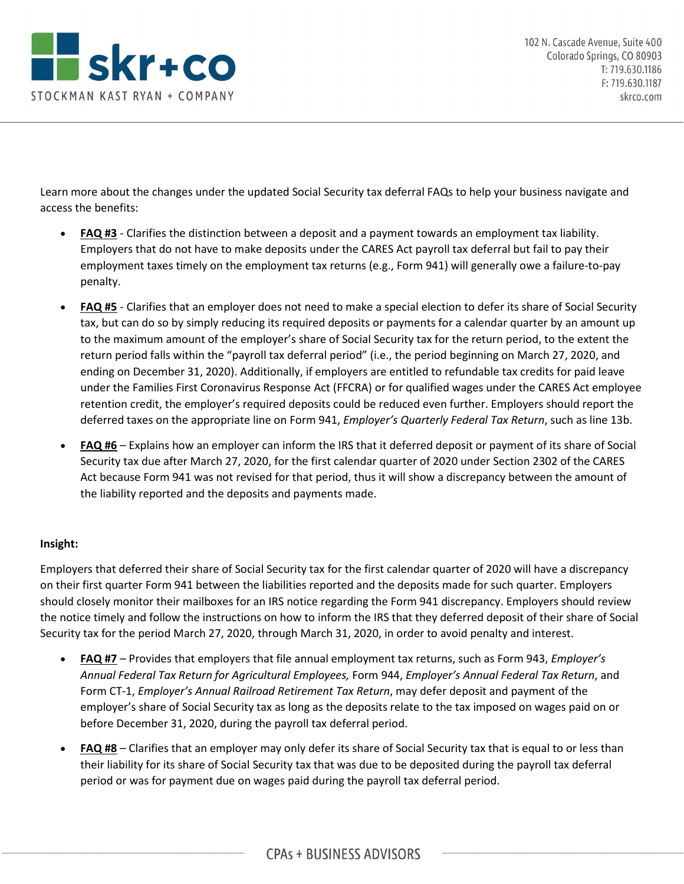

Learn more about the changes under the updated Social Security tax deferral FAQs to help your business navigate and access the benefits:

- **FAQ #3** Clarifies the distinction between a deposit and a payment towards an employment tax liability. Employers that do not have to make deposits under the CARES Act payroll tax deferral but fail to pay their employment taxes timely on the employment tax returns (e.g., Form 941) will generally owe a failure-to-pay penalty.
- **FAQ #5** Clarifies that an employer does not need to make a special election to defer its share of Social Security tax, but can do so by simply reducing its required deposits or payments for a calendar quarter by an amount up to the maximum amount of the employer's share of Social Security tax for the return period, to the extent the return period falls within the "payroll tax deferral period" (i.e., the period beginning on March 27, 2020, and ending on December 31, 2020). Additionally, if employers are entitled to refundable tax credits for paid leave under the Families First Coronavirus Response Act (FFCRA) or for qualified wages under the CARES Act employee retention credit, the employer's required deposits could be reduced even further. Employers should report the deferred taxes on the appropriate line on Form 941, *Employer's Quarterly Federal Tax Return*, such as line 13b.
- **FAQ #6** Explains how an employer can inform the IRS that it deferred deposit or payment of its share of Social Security tax due after March 27, 2020, for the first calendar quarter of 2020 under Section 2302 of the CARES Act because Form 941 was not revised for that period, thus it will show a discrepancy between the amount of the liability reported and the deposits and payments made.

## **Insight:**

Employers that deferred their share of Social Security tax for the first calendar quarter of 2020 will have a discrepancy on their first quarter Form 941 between the liabilities reported and the deposits made for such quarter. Employers should closely monitor their mailboxes for an IRS notice regarding the Form 941 discrepancy. Employers should review the notice timely and follow the instructions on how to inform the IRS that they deferred deposit of their share of Social Security tax for the period March 27, 2020, through March 31, 2020, in order to avoid penalty and interest.

- **FAQ #7** Provides that employers that file annual employment tax returns, such as Form 943, *Employer's Annual Federal Tax Return for Agricultural Employees,* Form 944, *Employer's Annual Federal Tax Return*, and Form CT-1, *Employer's Annual Railroad Retirement Tax Return*, may defer deposit and payment of the employer's share of Social Security tax as long as the deposits relate to the tax imposed on wages paid on or before December 31, 2020, during the payroll tax deferral period.
- **FAQ #8** Clarifies that an employer may only defer its share of Social Security tax that is equal to or less than their liability for its share of Social Security tax that was due to be deposited during the payroll tax deferral period or was for payment due on wages paid during the payroll tax deferral period.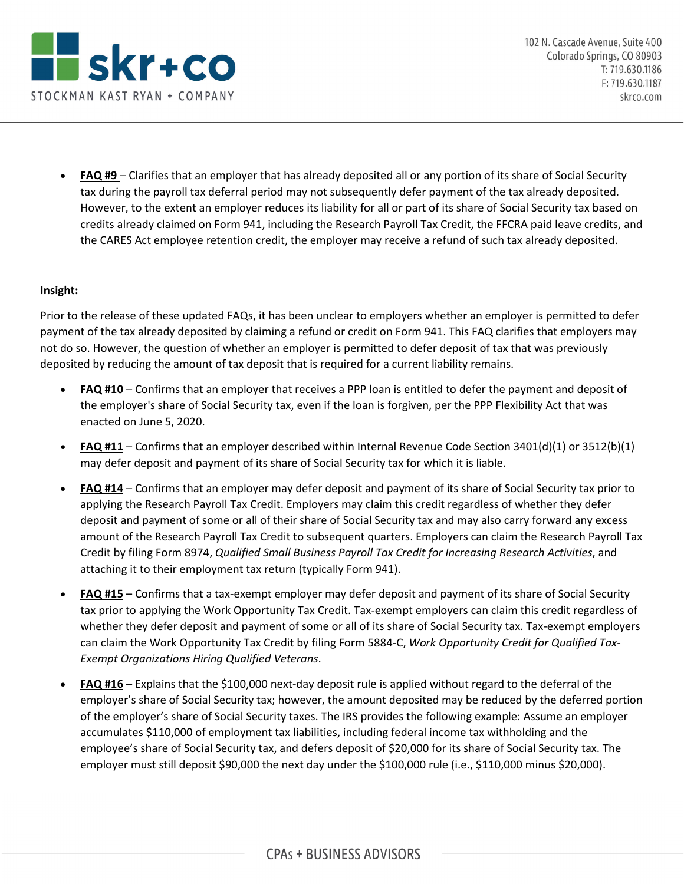

• **FAQ #9** – Clarifies that an employer that has already deposited all or any portion of its share of Social Security tax during the payroll tax deferral period may not subsequently defer payment of the tax already deposited. However, to the extent an employer reduces its liability for all or part of its share of Social Security tax based on credits already claimed on Form 941, including the Research Payroll Tax Credit, the FFCRA paid leave credits, and the CARES Act employee retention credit, the employer may receive a refund of such tax already deposited.

## **Insight:**

Prior to the release of these updated FAQs, it has been unclear to employers whether an employer is permitted to defer payment of the tax already deposited by claiming a refund or credit on Form 941. This FAQ clarifies that employers may not do so. However, the question of whether an employer is permitted to defer deposit of tax that was previously deposited by reducing the amount of tax deposit that is required for a current liability remains.

- **FAQ #10** Confirms that an employer that receives a PPP loan is entitled to defer the payment and deposit of the employer's share of Social Security tax, even if the loan is forgiven, per the PPP Flexibility Act that was enacted on June 5, 2020.
- **FAQ #11** Confirms that an employer described within Internal Revenue Code Section 3401(d)(1) or 3512(b)(1) may defer deposit and payment of its share of Social Security tax for which it is liable.
- **FAQ #14** Confirms that an employer may defer deposit and payment of its share of Social Security tax prior to applying the Research Payroll Tax Credit. Employers may claim this credit regardless of whether they defer deposit and payment of some or all of their share of Social Security tax and may also carry forward any excess amount of the Research Payroll Tax Credit to subsequent quarters. Employers can claim the Research Payroll Tax Credit by filing Form 8974, *Qualified Small Business Payroll Tax Credit for Increasing Research Activities*, and attaching it to their employment tax return (typically Form 941).
- **FAQ #15** Confirms that a tax-exempt employer may defer deposit and payment of its share of Social Security tax prior to applying the Work Opportunity Tax Credit. Tax-exempt employers can claim this credit regardless of whether they defer deposit and payment of some or all of its share of Social Security tax. Tax-exempt employers can claim the Work Opportunity Tax Credit by filing Form 5884-C, *Work Opportunity Credit for Qualified Tax-Exempt Organizations Hiring Qualified Veterans*.
- **FAQ #16** Explains that the \$100,000 next-day deposit rule is applied without regard to the deferral of the employer's share of Social Security tax; however, the amount deposited may be reduced by the deferred portion of the employer's share of Social Security taxes. The IRS provides the following example: Assume an employer accumulates \$110,000 of employment tax liabilities, including federal income tax withholding and the employee's share of Social Security tax, and defers deposit of \$20,000 for its share of Social Security tax. The employer must still deposit \$90,000 the next day under the \$100,000 rule (i.e., \$110,000 minus \$20,000).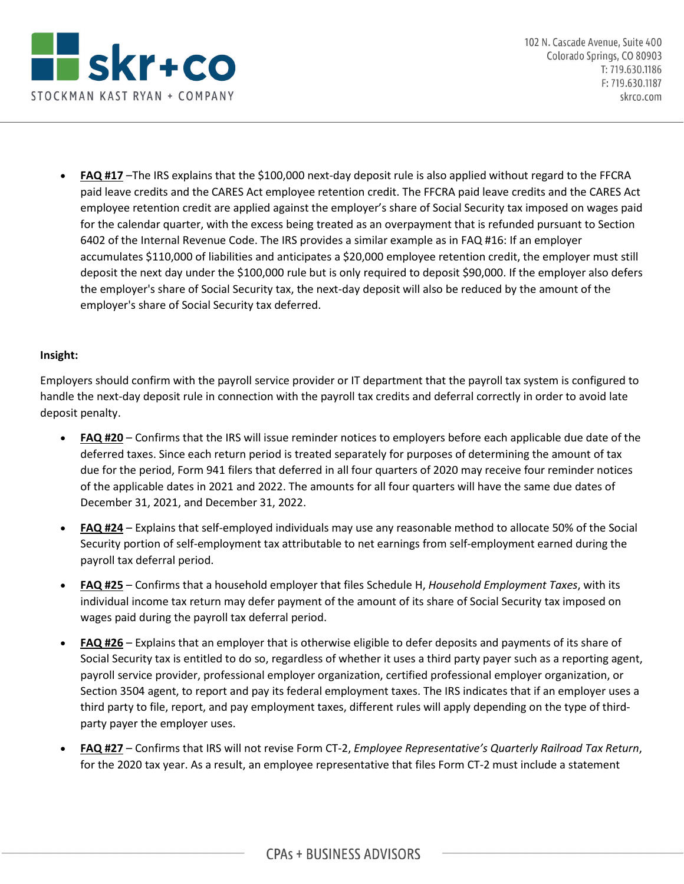

• **FAQ #17** –The IRS explains that the \$100,000 next-day deposit rule is also applied without regard to the FFCRA paid leave credits and the CARES Act employee retention credit. The FFCRA paid leave credits and the CARES Act employee retention credit are applied against the employer's share of Social Security tax imposed on wages paid for the calendar quarter, with the excess being treated as an overpayment that is refunded pursuant to Section 6402 of the Internal Revenue Code. The IRS provides a similar example as in FAQ #16: If an employer accumulates \$110,000 of liabilities and anticipates a \$20,000 employee retention credit, the employer must still deposit the next day under the \$100,000 rule but is only required to deposit \$90,000. If the employer also defers the employer's share of Social Security tax, the next-day deposit will also be reduced by the amount of the employer's share of Social Security tax deferred.

## **Insight:**

Employers should confirm with the payroll service provider or IT department that the payroll tax system is configured to handle the next-day deposit rule in connection with the payroll tax credits and deferral correctly in order to avoid late deposit penalty.

- **FAQ #20** Confirms that the IRS will issue reminder notices to employers before each applicable due date of the deferred taxes. Since each return period is treated separately for purposes of determining the amount of tax due for the period, Form 941 filers that deferred in all four quarters of 2020 may receive four reminder notices of the applicable dates in 2021 and 2022. The amounts for all four quarters will have the same due dates of December 31, 2021, and December 31, 2022.
- **FAQ #24** Explains that self-employed individuals may use any reasonable method to allocate 50% of the Social Security portion of self-employment tax attributable to net earnings from self-employment earned during the payroll tax deferral period.
- **FAQ #25** Confirms that a household employer that files Schedule H, *Household Employment Taxes*, with its individual income tax return may defer payment of the amount of its share of Social Security tax imposed on wages paid during the payroll tax deferral period.
- **FAQ #26** Explains that an employer that is otherwise eligible to defer deposits and payments of its share of Social Security tax is entitled to do so, regardless of whether it uses a third party payer such as a reporting agent, payroll service provider, professional employer organization, certified professional employer organization, or Section 3504 agent, to report and pay its federal employment taxes. The IRS indicates that if an employer uses a third party to file, report, and pay employment taxes, different rules will apply depending on the type of thirdparty payer the employer uses.
- **FAQ #27** Confirms that IRS will not revise Form CT-2, *Employee Representative's Quarterly Railroad Tax Return*, for the 2020 tax year. As a result, an employee representative that files Form CT-2 must include a statement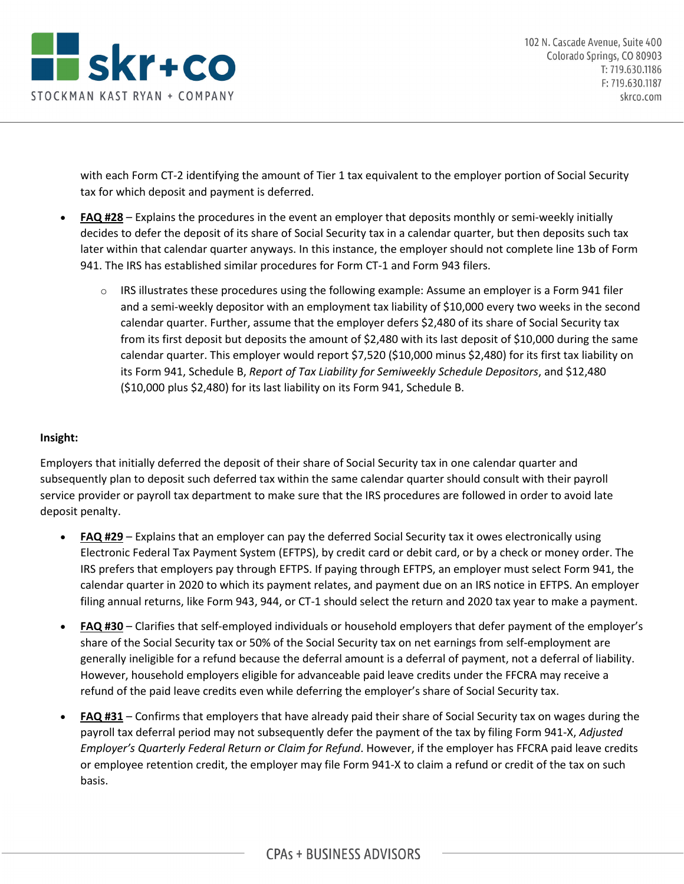

with each Form CT-2 identifying the amount of Tier 1 tax equivalent to the employer portion of Social Security tax for which deposit and payment is deferred.

- **FAQ #28** Explains the procedures in the event an employer that deposits monthly or semi-weekly initially decides to defer the deposit of its share of Social Security tax in a calendar quarter, but then deposits such tax later within that calendar quarter anyways. In this instance, the employer should not complete line 13b of Form 941. The IRS has established similar procedures for Form CT-1 and Form 943 filers.
	- $\circ$  IRS illustrates these procedures using the following example: Assume an employer is a Form 941 filer and a semi-weekly depositor with an employment tax liability of \$10,000 every two weeks in the second calendar quarter. Further, assume that the employer defers \$2,480 of its share of Social Security tax from its first deposit but deposits the amount of \$2,480 with its last deposit of \$10,000 during the same calendar quarter. This employer would report \$7,520 (\$10,000 minus \$2,480) for its first tax liability on its Form 941, Schedule B, *Report of Tax Liability for Semiweekly Schedule Depositors*, and \$12,480 (\$10,000 plus \$2,480) for its last liability on its Form 941, Schedule B.

## **Insight:**

Employers that initially deferred the deposit of their share of Social Security tax in one calendar quarter and subsequently plan to deposit such deferred tax within the same calendar quarter should consult with their payroll service provider or payroll tax department to make sure that the IRS procedures are followed in order to avoid late deposit penalty.

- **FAQ #29** Explains that an employer can pay the deferred Social Security tax it owes electronically using Electronic Federal Tax Payment System (EFTPS), by credit card or debit card, or by a check or money order. The IRS prefers that employers pay through EFTPS. If paying through EFTPS, an employer must select Form 941, the calendar quarter in 2020 to which its payment relates, and payment due on an IRS notice in EFTPS. An employer filing annual returns, like Form 943, 944, or CT-1 should select the return and 2020 tax year to make a payment.
- **FAQ #30** Clarifies that self-employed individuals or household employers that defer payment of the employer's share of the Social Security tax or 50% of the Social Security tax on net earnings from self-employment are generally ineligible for a refund because the deferral amount is a deferral of payment, not a deferral of liability. However, household employers eligible for advanceable paid leave credits under the FFCRA may receive a refund of the paid leave credits even while deferring the employer's share of Social Security tax.
- **FAQ #31** Confirms that employers that have already paid their share of Social Security tax on wages during the payroll tax deferral period may not subsequently defer the payment of the tax by filing Form 941-X, *Adjusted Employer's Quarterly Federal Return or Claim for Refund*. However, if the employer has FFCRA paid leave credits or employee retention credit, the employer may file Form 941-X to claim a refund or credit of the tax on such basis.